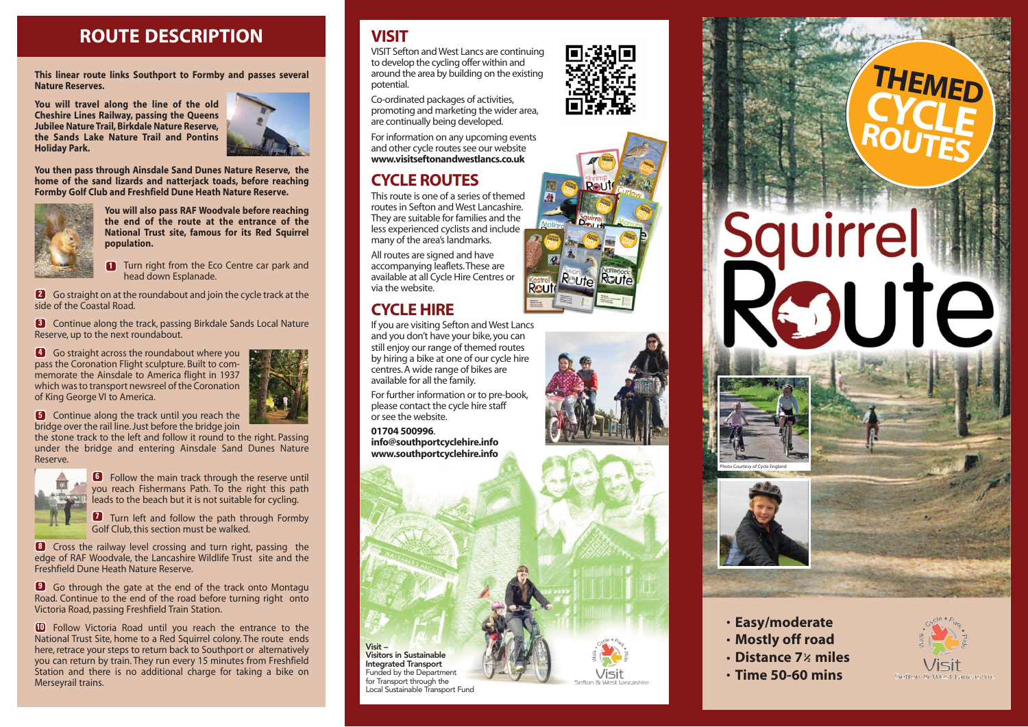## **ROUTE DESCRIPTION**

**This linear route links Southport to Formby and passes several Nature Reserves.** 

**You will travel along the line of the old Cheshire Lines Railway, passing the Queens Jubilee Nature Trail, Birkdale Nature Reserve, the Sands Lake Nature Trail and Pontins Holiday Park.**



**You then pass through Ainsdale Sand Dunes Nature Reserve, the home of the sand lizards and natterjack toads, before reaching Formby Golf Club and Freshfield Dune Heath Nature Reserve.**



**You will also pass RAF Woodvale before reaching the end of the route at the entrance of the National Trust site, famous for its Red Squirrel population.** 

**1** Turn right from the Eco Centre car park and head down Esplanade.

Go straight on at the roundabout and join the cycle track at the **2** side of the Coastal Road.

Continue along the track, passing Birkdale Sands Local Nature **3** Reserve, up to the next roundabout.

Go straight across the roundabout where you **4** pass the Coronation Flight sculpture. Built to commemorate the Ainsdale to America flight in 1937 which was to transport newsreel of the Coronation of King George VI to America.

**5** Continue along the track until you reach the bridge over the rail line. Just before the bridge join

the stone track to the left and follow it round to the right. Passing under the bridge and entering Ainsdale Sand Dunes Nature Reserve.



**6** Follow the main track through the reserve until you reach Fishermans Path. To the right this path leads to the beach but it is not suitable for cycling.

**7** Turn left and follow the path through Formby Golf Club, this section must be walked.

Cross the railway level crossing and turn right, passing the **8** edge of RAF Woodvale, the Lancashire Wildlife Trust site and the Freshfield Dune Heath Nature Reserve.

Go through the gate at the end of the track onto Montagu **9** Road. Continue to the end of the road before turning right onto Victoria Road, passing Freshfield Train Station.

Follow Victoria Road until you reach the entrance to the **10** National Trust Site, home to a Red Squirrel colony. The route ends here, retrace your steps to return back to Southport or alternatively you can return by train. They run every 15 minutes from Freshfield Station and there is no additional charge for taking a bike on Merseyrail trains.

#### **VISIT**

VISIT Sefton and West Lancs are continuing to develop the cycling offer within and around the area by building on the existing potential.

Co-ordinated packages of activities, promoting and marketing the wider area, are continually being developed.

For information on any upcoming events and other cycle routes see our website **www.visitseftonandwestlancs.co.uk**

### **CYCLE ROUTES**

This route is one of a series of themed routes in Sefton and West Lancashire. They are suitable for families and the less experienced cyclists and include many of the area's landmarks.

All routes are signed and have accompanying leaflets. These are available at all Cycle Hire Centres or via the website.

#### **CYCLE HIRE**

If you are visiting Sefton and West Lancs and you don't have your bike, you can still enjoy our range of themed routes by hiring a bike at one of our cycle hire centres. A wide range of bikes are available for all the family.

For further information or to pre-book, please contact the cycle hire staff or see the website.

**01704 500996**. **info@southportcyclehire.info www.southportcyclehire.info**

**Visit –** 

**Visitors in Sustainable Integrated Transport** Funded by the Department for Transport through the Local Sustainable Transport Fund









# **THEMED CYCLE ROUTES**

# Squirrel SUIE





- **Mostly off road**
- **Distance 7 miles 1 2**
- **Time 50-60 mins**